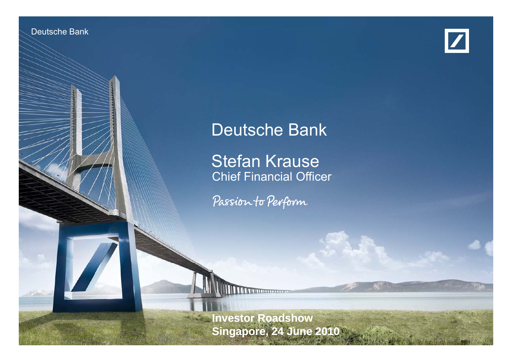Deutsche Banken Banken Investor Relations



# Deutsche Bank

**Stefan Krause**<br>Chief Financial Officer

Passion to Perform

**Investor Roadshow Singapore, 24 June 2010**

24 June 2010Stefan Krause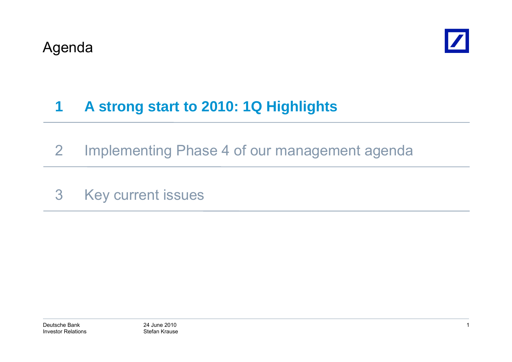

#### **1A strong start to 2010: 1Q Highlights**

- 2 Implementing Phase 4 of our management agenda
- 3 Key current issues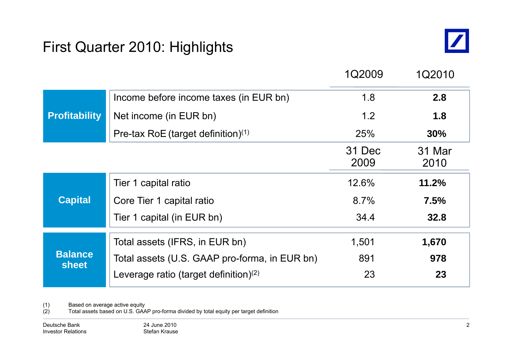## First Quarter 2010: Highlights



|                                |                                               | 1Q2009         | 1Q2010         |
|--------------------------------|-----------------------------------------------|----------------|----------------|
|                                | Income before income taxes (in EUR bn)        | 1.8            | 2.8            |
| <b>Profitability</b>           | Net income (in EUR bn)                        | 1.2            | 1.8            |
|                                | Pre-tax RoE (target definition) $(1)$         | <b>25%</b>     | 30%            |
|                                |                                               | 31 Dec<br>2009 | 31 Mar<br>2010 |
|                                | Tier 1 capital ratio                          | 12.6%          | 11.2%          |
| <b>Capital</b>                 | Core Tier 1 capital ratio                     | 8.7%           | 7.5%           |
|                                | Tier 1 capital (in EUR bn)                    | 34.4           | 32.8           |
|                                | Total assets (IFRS, in EUR bn)                | 1,501          | 1,670          |
| <b>Balance</b><br><b>sheet</b> | Total assets (U.S. GAAP pro-forma, in EUR bn) | 891            | 978            |
|                                | Leverage ratio (target definition) $(2)$      | 23             | 23             |

(1) Based on average active equity

(2) Total assets based on U.S. GAAP pro-forma divided by total equity per target definition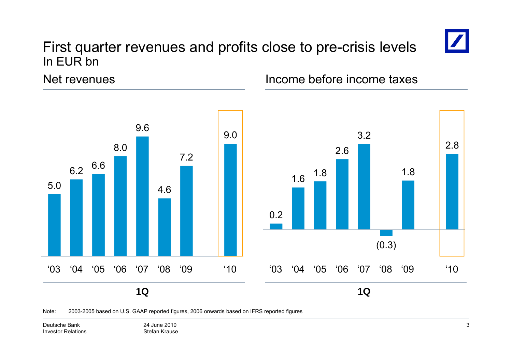## First quarter revenues and profits close to pre-crisis levels In EUR bn



Net revenues



Income before income taxes



Note: 2003-2005 based on U.S. GAAP reported figures, 2006 onwards based on IFRS reported figures

Deutsche BankInvestor Relations 24 June 2010Stefan Krause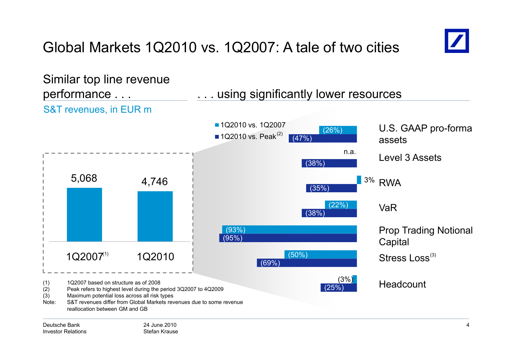# Global Markets 1Q2010 vs. 1Q2007: A tale of two cities



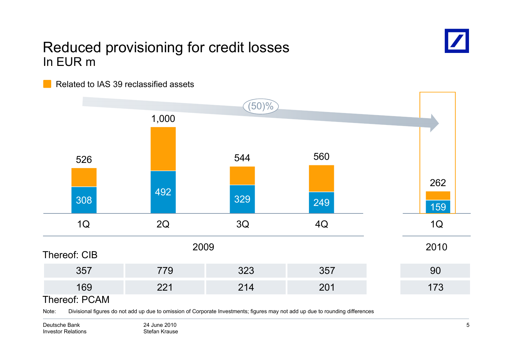## Reduced provisioning for credit losses In EUR m



Related to IAS 39 reclassified assets



Note: Divisional figures do not add up due to omission of Corporate Investments; figures may not add up due to rounding differences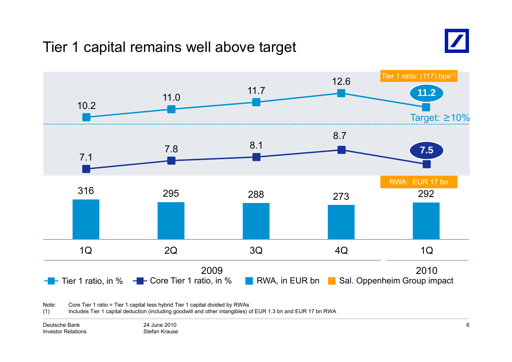## Tier 1 capital remains well above target





Note:: Core Tier 1 ratio = Tier 1 capital less hybrid Tier 1 capital divided by RWAs

(1) Includes Tier 1 capital deduction (including goodwill and other intangibles) of EUR 1.3 bn and EUR 17 bn RWA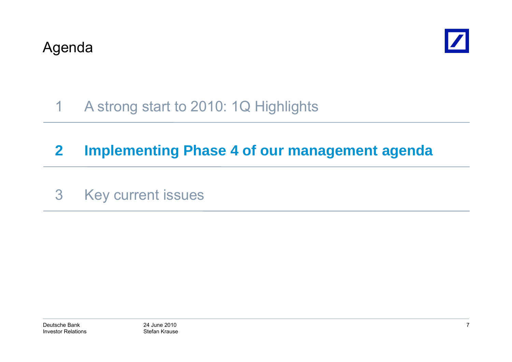

#### 1A strong start to 2010: 1Q Highlights

# **2 Implementing Phase 4 of our management agenda**

3 Key current issues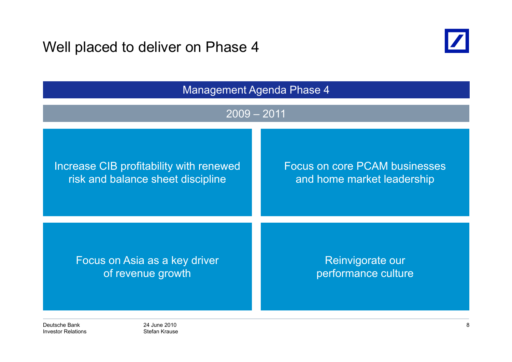Well placed to deliver on Phase 4



| <b>Management Agenda Phase 4</b>        |                                      |  |
|-----------------------------------------|--------------------------------------|--|
| $2009 - 2011$                           |                                      |  |
| Increase CIB profitability with renewed | <b>Focus on core PCAM businesses</b> |  |
| risk and balance sheet discipline       | and home market leadership           |  |
| Focus on Asia as a key driver           | Reinvigorate our                     |  |
| of revenue growth                       | performance culture                  |  |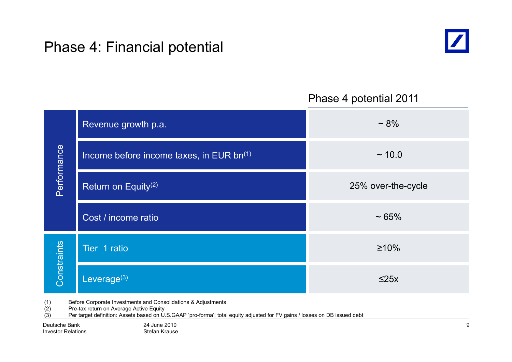## Phase 4: Financial potential



#### Phase 4 potential 2011

| Revenue growth p.a.                      | $~1.8\%$           |
|------------------------------------------|--------------------|
| Income before income taxes, in EUR bn(1) | ~10.0              |
| Return on Equity <sup>(2)</sup>          | 25% over-the-cycle |
| Cost / income ratio                      | $~1.65\%$          |
| Tier 1 ratio                             | $\geq 10\%$        |
| Leverage $(3)$                           | $\leq$ 25x         |
|                                          |                    |

(1) Before Corporate Investments and Consolidations & Adjustments

(2) Pre-tax return on Average Active Equity

(3) Per target definition: Assets based on U.S.GAAP 'pro-forma'; total equity adjusted for FV gains / losses on DB issued debt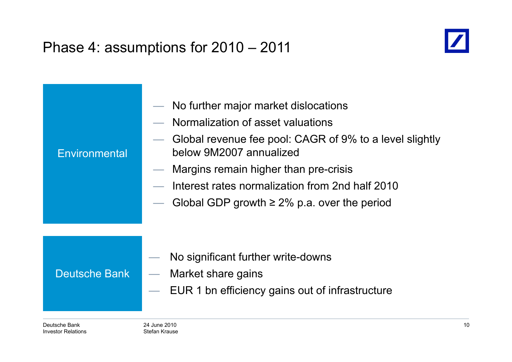# Phase 4: assumptions for 2010 – 2011



| Environmental        | No further major market dislocations<br>Normalization of asset valuations<br>Global revenue fee pool: CAGR of 9% to a level slightly<br>below 9M2007 annualized<br>Margins remain higher than pre-crisis<br>$\overline{\phantom{0}}$<br>Interest rates normalization from 2nd half 2010<br>Global GDP growth $\geq$ 2% p.a. over the period |
|----------------------|---------------------------------------------------------------------------------------------------------------------------------------------------------------------------------------------------------------------------------------------------------------------------------------------------------------------------------------------|
| <b>Deutsche Bank</b> | No significant further write-downs<br>Market share gains<br>EUR 1 bn efficiency gains out of infrastructure                                                                                                                                                                                                                                 |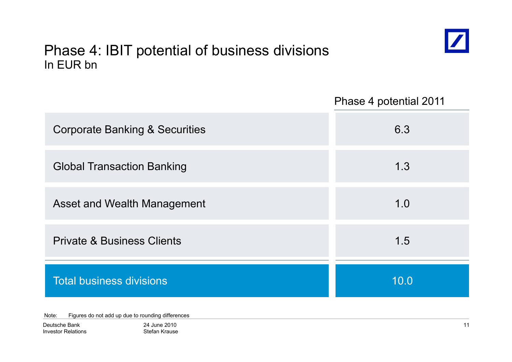## Phase 4: IBIT potential of business divisions In EUR bn



Phase 4 potential 2011

| <b>Corporate Banking &amp; Securities</b> | 6.3  |
|-------------------------------------------|------|
| <b>Global Transaction Banking</b>         | 1.3  |
| Asset and Wealth Management               | 1.0  |
| <b>Private &amp; Business Clients</b>     | 1.5  |
| <b>Total business divisions</b>           | 10.0 |

Note: Figures do not add up due to rounding differences

| Deutsche Bank             |
|---------------------------|
| <b>Investor Relations</b> |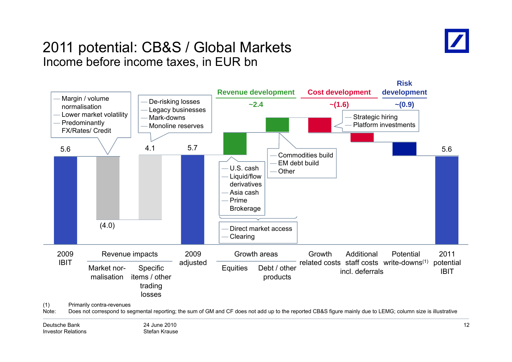

### 2011 potential: CB&S / Global Markets Income before income taxes, in EUR bn

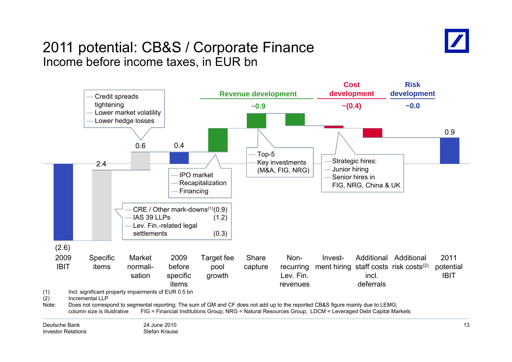

### 2011 potential: CB&S / Corporate Finance Income before income taxes, in EUR bn

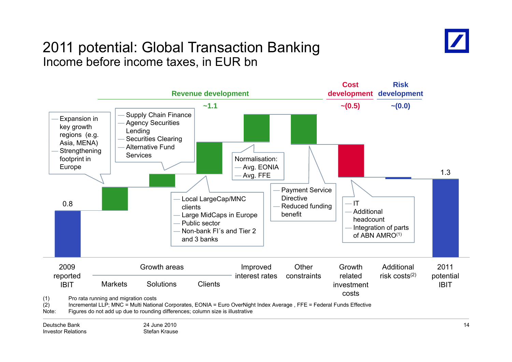

### 2011 potential: Global Transaction Banking Income before income taxes, in EUR bn

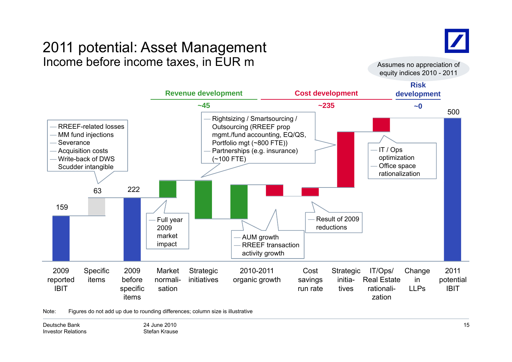## 2011 potential: Asset Management Income before income taxes, in EUR m  $\blacksquare$  assumes no appreciation of



equity indices 2010 - 2011



Note: Figures do not add up due to rounding differences; column size is illustrative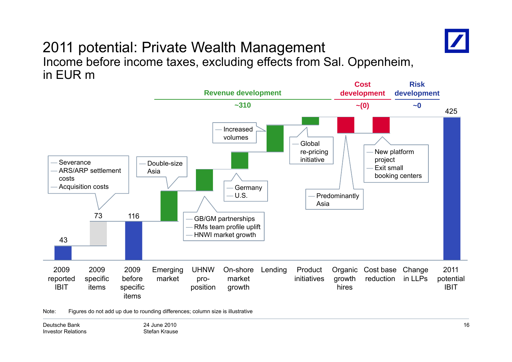

#### 2011 potential: Private Wealth Management Income before income taxes, excluding effects from Sal. Oppenheim, in EUR m



Note: Figures do not add up due to rounding differences; column size is illustrative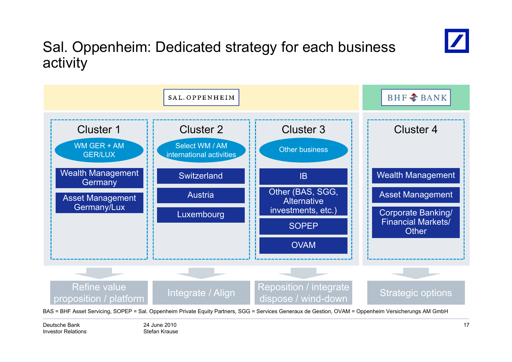

# Sal. Oppenheim: Dedicated strategy for each business activity

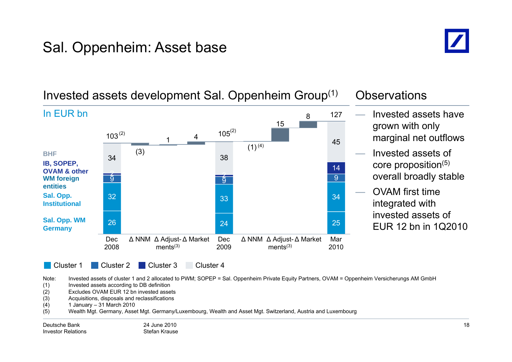# Sal. Oppenheim: Asset base



#### 115 4845 $103^{(2)}$  $3^{(2)}$  105 127In EUR bn Invested assets have grown with only marginal net outflows (2) (2) 99  $\overline{9}$ 142 (3) 2  $(1)^{(4)}$ 34 38 **WM forei gn g IB, SOPEP, OVAM & otherBHF** Invested assets of core proposition(5) overall broadly stable 266 24 25 32 333<sup>3</sup> **Sal. Opp. WM entitiesSal. Opp. Institutional** OVAM first time integrated with invested assets of **Germany** and  $\overline{a}$  and  $\overline{a}$  and  $\overline{a}$  and  $\overline{a}$  and  $\overline{a}$  and  $\overline{a}$  and  $\overline{a}$  and  $\overline{a}$  and  $\overline{a}$  and  $\overline{a}$  and  $\overline{a}$  and  $\overline{a}$  and  $\overline{a}$  and  $\overline{a}$  and  $\overline{a}$  and  $\overline{a}$  and Cluster 1 Cluster Cluster 2 Dec 2008Δ NNM Δ Adjust-Δ Market Dec  $ments<sup>(3)</sup>$ 2009Δ NNM Δ Adjust-Δ Market Mar  $ments<sup>(3)</sup>$ 2010EUR 12 bn in 1Q2010 Cluster<sub>3</sub> Cluster<sub>4</sub>

Invested assets development Sal. Oppenheim Group $^{\left(1\right)}$   $\;$  Observations

Note: Invested assets of cluster 1 and 2 allocated to PWM; SOPEP = Sal. Oppenheim Private Equity Partners, OVAM = Oppenheim Versicherungs AM GmbH

(1) Invested assets according to DB definition

(2) Excludes OVAM EUR 12 bn invested assets

(3) Acquisitions, disposals and reclassifications

(4) 1 January 31 March 2010 –

(5) Wealth Mgt. Germany, Asset Mgt. Germany/Luxembourg, Wealth and Asset Mgt. Switzerland, Austria and Luxembourg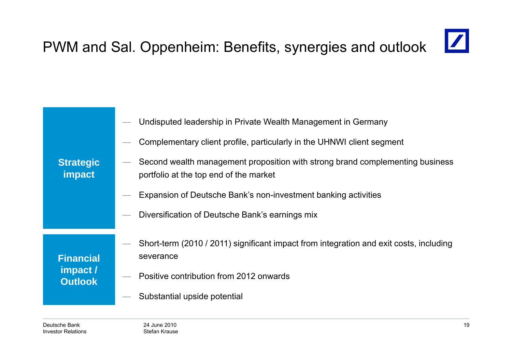#### $\boxed{\mathbb{Z}}$ PWM and Sal. Oppenheim: Benefits, synergies and outlook

| <b>Strategic</b><br>impact                     | Undisputed leadership in Private Wealth Management in Germany<br>Complementary client profile, particularly in the UHNWI client segment<br>Second wealth management proposition with strong brand complementing business<br>portfolio at the top end of the market<br>Expansion of Deutsche Bank's non-investment banking activities |
|------------------------------------------------|--------------------------------------------------------------------------------------------------------------------------------------------------------------------------------------------------------------------------------------------------------------------------------------------------------------------------------------|
|                                                | Diversification of Deutsche Bank's earnings mix                                                                                                                                                                                                                                                                                      |
|                                                |                                                                                                                                                                                                                                                                                                                                      |
| <b>Financial</b><br>impact /<br><b>Outlook</b> | Short-term (2010 / 2011) significant impact from integration and exit costs, including<br>severance                                                                                                                                                                                                                                  |
|                                                | Positive contribution from 2012 onwards                                                                                                                                                                                                                                                                                              |
|                                                | Substantial upside potential                                                                                                                                                                                                                                                                                                         |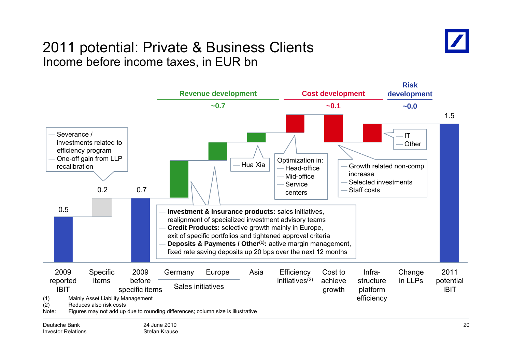## 2011 potential: Private & Business Clients Income before income taxes, in EUR bn

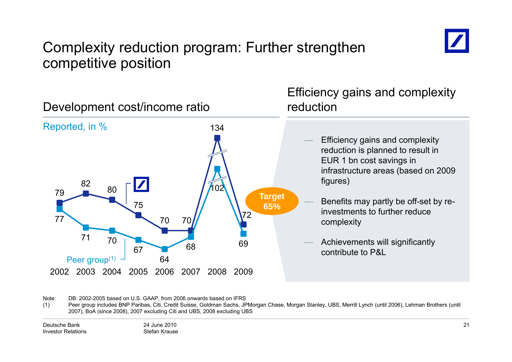

## Complexity reduction program: Further strengthen competitive position



Note: DB: 2002-2005 based on U.S. GAAP, from 2006 onwards based on IFRS

(1) Peer group includes BNP Paribas, Citi, Credit Suisse, Goldman Sachs, JPMorgan Chase, Morgan Stanley, UBS, Merrill Lynch (until 2006), Lehman Brothers (until 2007), BoA (since 2008), 2007 excluding Citi and UBS, 2008 excluding UBS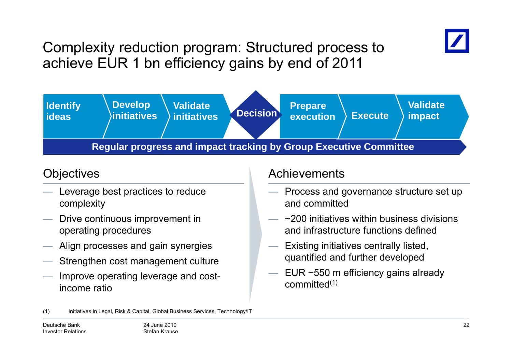

Complexity reduction program: Structured process to achieve EUR 1 bn efficiency gains by end of 2011



- Leverage best practices to reduce complexity
- —— Drive continuous improvement in operating procedures
- Align processes and gain synergies
- Strengthen cost management culture
- Improve operating leverage and costincome ratio

#### Objectives and a control of the Achievements

- Process and governance structure set up and committed
- $\sim$ 200 initiatives within business divisions and infrastructure functions defined
- Existing initiatives centrally listed, quantified and further developed
- EUR ~550 m efficiency gains already committed(1)

<sup>(1)</sup> Initiatives in Legal, Risk & Capital, Global Business Services, Technology/IT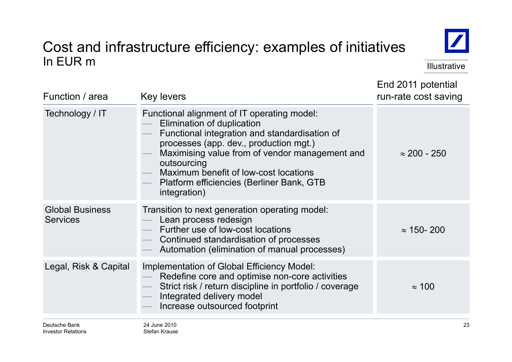#### Cost and infrastructure efficiency: examples of initiatives In EUR m Illustrative in the second service in the second service in the service in the lillustrative



End 2011 potential

| Function / area                           | <b>Key levers</b>                                                                                                                                                                                                                                                                                                                           | run-rate cost saving |  |
|-------------------------------------------|---------------------------------------------------------------------------------------------------------------------------------------------------------------------------------------------------------------------------------------------------------------------------------------------------------------------------------------------|----------------------|--|
| Technology / IT                           | Functional alignment of IT operating model:<br>Elimination of duplication<br>Functional integration and standardisation of<br>processes (app. dev., production mgt.)<br>Maximising value from of vendor management and<br>outsourcing<br>Maximum benefit of low-cost locations<br>Platform efficiencies (Berliner Bank, GTB<br>integration) | $\approx$ 200 - 250  |  |
| <b>Global Business</b><br><b>Services</b> | Transition to next generation operating model:<br>Lean process redesign<br>Further use of low-cost locations<br>Continued standardisation of processes<br>Automation (elimination of manual processes)                                                                                                                                      | $\approx$ 150-200    |  |
| Legal, Risk & Capital                     | Implementation of Global Efficiency Model:<br>Redefine core and optimise non-core activities<br>Strict risk / return discipline in portfolio / coverage<br>Integrated delivery model<br>Increase outsourced footprint                                                                                                                       | $\approx$ 100        |  |
| Deutsche Bank                             | 24 June 2010                                                                                                                                                                                                                                                                                                                                | 23                   |  |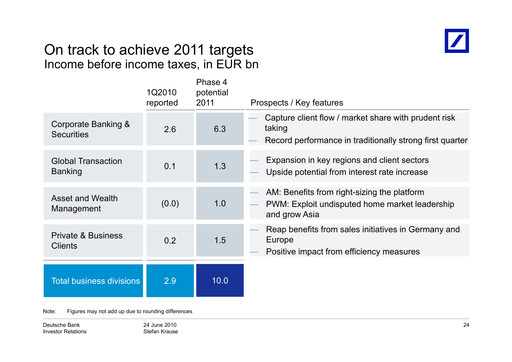## On track to achieve 2011 tar gets Income before income taxes, in EUR bn



|                                                 | 1Q2010<br>reported | Phase 4<br>potential<br>2011 | Prospects / Key features                                                                                                   |
|-------------------------------------------------|--------------------|------------------------------|----------------------------------------------------------------------------------------------------------------------------|
| Corporate Banking &<br><b>Securities</b>        | 2.6                | 6.3                          | Capture client flow / market share with prudent risk<br>taking<br>Record performance in traditionally strong first quarter |
| <b>Global Transaction</b><br><b>Banking</b>     | 0.1                | 1.3                          | Expansion in key regions and client sectors<br>Upside potential from interest rate increase                                |
| <b>Asset and Wealth</b><br>Management           | (0.0)              | 1.0                          | AM: Benefits from right-sizing the platform<br>PWM: Exploit undisputed home market leadership<br>and grow Asia             |
| <b>Private &amp; Business</b><br><b>Clients</b> | 0.2                | 1.5                          | Reap benefits from sales initiatives in Germany and<br>Europe<br>Positive impact from efficiency measures                  |
| <b>Total business divisions</b>                 | 2.9                | 10.0                         |                                                                                                                            |

Note: Figures may not add up due to rounding differences

Deutsche BankInvestor Relations 24 June 2010Stefan Krause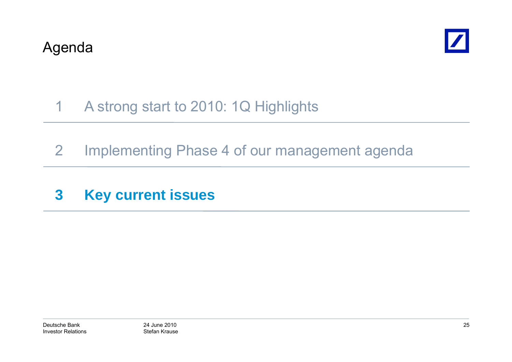

#### 1A strong start to 2010: 1Q Highlights

- 2 Implementing Phase 4 of our management agenda
- **3 Key current issues**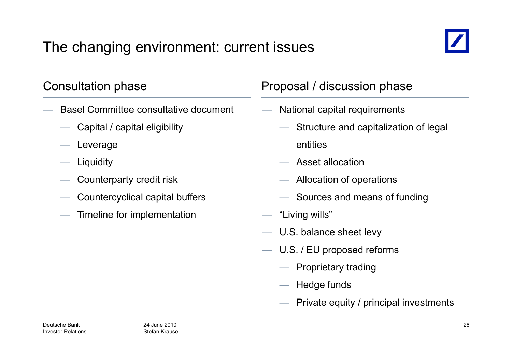# The changing environment: current issues



- Basel Committee consultative document
	- Capital / capital eligibility
	- Leverage
	- Liquidity
	- $\hspace{.1cm}$  Counterparty credit risk  $\hspace{.1cm}$   $\hspace{.1cm}$
	- Countercyclical capital buffers
	- Timeline for implementation

### Consultation phase **Proposal / discussion phase**

- National capital requirements
	- Structure and capitalization of legal entities
	- $-$  Asset allocation
	- $-$  Allocation of operations
	- Sources and means of funding
- "Living wills"
- U.S. balance sheet levy
- — U.S. / EU proposed reforms
	- Proprietary trading
	- Hedge funds
	- Private equity / principal investments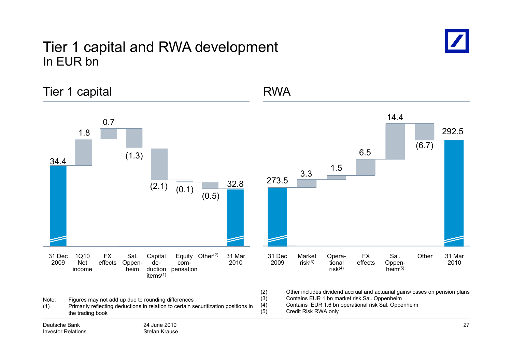### Tier 1 capital and RWA development In EUR bn



Tier 1 capital and 1 and 1 and 1 and 1 and 1 and 1 and 1 and 1 and 1 and 1 and 1 and 1 and 1 and 1 and 1 and 1 1.8 0.77 and 14.4 292.534.4 (1.3) 32 8 <sup>273</sup> <sup>5</sup> 3.3 1.5 6.5 (6.7)  $(2.1)$   $(0.1)$   $(0.5)$   $(0.5)$   $(0.5)$   $(0.6)$   $(0.7)$   $(0.6)$   $(0.8)$   $(0.7)$   $(0.8)$   $(0.8)$   $(0.9)$   $(0.9)$   $(0.9)$   $(0.9)$   $(0.1)$   $(0.9)$   $(0.1)$   $(0.9)$   $(0.1)$   $(0.9)$   $(0.1)$   $(0.9)$   $(0.1)$   $(0.9)$   $(0.1)$   $(0.9$ 200931 Mar20101Q10 NetFX effects Oppen-Equity Other<sup>(2)</sup> com-Capital de- Other Sal. (2) Oppen- 31 Dec <sup>2009</sup> Opera- tional 31 Mar <sup>2010</sup> Sal. Oppen- Market Other risk(3) FX effects income duction pensation items(1) heim2009 Net effects Oppen- de-<br>
income heim duction pensation items<sup>(1)</sup><br>
Note: Figures may not add up due to rounding differences (3) Other includes dividend accrual and actuarial gai (2) Other includes dividend accrual and actuarial gains/losses on pension plans (3) Contains EUR 1 bn market risk Sal. Oppenheim<br>(4) Contains EUR 1.6 bn operational risk Sal. Oppe (4) Contains EUR 1 6 bn operational risk Sal Oppenheim 1.6 Sal. (5) Credit Risk RWA only24 June 2010Stefan KrauseDeutsche BankInvestor Relations27(1) Primarily reflecting deductions in relation to certain securitization positions in the trading book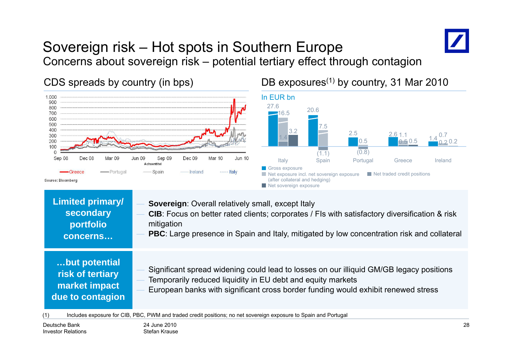#### Sovereign risk – Hot spots in Southern Europe Concerns about sovereign risk – – potential tertiary effect through contagion

CDS spreads by country (in bps) DB exposures<sup>(1)</sup> by country, 31 Mar 2010 1.000 In EUR bn 900 27.6800 20.6700 16.5600 500 7.5 400 3.2 2.5 2.6 300  $0.7$  $\frac{1.4}{0.5}$  0.5  $\frac{2.0}{0.5}$  0.5  $\frac{1.4}{0.2}$  0.2 0.5 <mark>1.4</mark> 200  $0.5\,$  $2.0.2$  $0.5\,$ 0.5 $0.50.5$   $0.2$ 100  $(1.1)$  (0.8) Dec 08 Mar 09 **Jun 09** Sep 09 Dec 09 **Mar 10 Jun 10** Sep 08 Italy Spain Portugal Greece Ireland Achsentitel Gross exposure Portugal - Spain - Ireland ---- Italy Net exposure incl. net sovereign exposure Net traded credit positions (after collateral and hedging) Source: Bloomberg Net sovereign exposure **Limited primary/ Sovereign: Overall relatively small, except Italy secondary CIB**: Focus on better rated clients; corporates / FIs with satisfactory diversification & risk mitigation **tf li portf olio PBC**: Large presence in Spain and Italy, mitigated by low concentration risk and collateral **concerns…but potential …but** Significant spread widening could lead to losses on our illiquid GM/GB legacy positions **risk of tertiary**  Temporarily reduced liquidity in EU debt and equity markets **market impact** 

 European banks with significant cross border funding would exhibit renewed stress **due to contagion**

(1) Includes exposure for CIB, PBC, PWM and traded credit positions; no net sovereign exposure to Spain and Portugal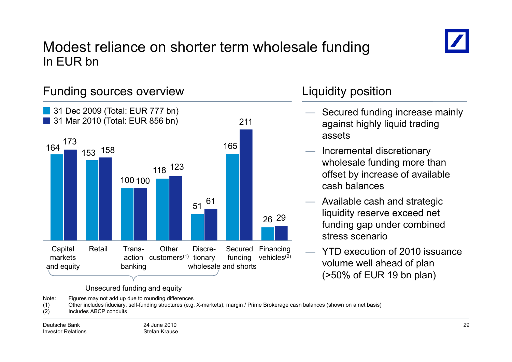

### Modest reliance on shorter term wholesale funding In EUR bn



Note: Figures may not add up due to rounding differences

(1) Other includes fiduciary, self-funding structures (e.g. X-markets), margin / Prime Brokerage cash balances (shown on a net basis)

(2) Includes ABCP conduits

Deutsche BankInvestor Relations 24 June 2010Stefan Krause

- Secured funding increase mainly against highly liquid trading assets
- Incremental discretionary wholesale funding more than offset by increase of available cash balances
- Available cash and strategic liquidity reserve exceed net funding gap under combined stress scenario
- YTD execution of 2010 issuance (>50% of EUR 19 bn plan)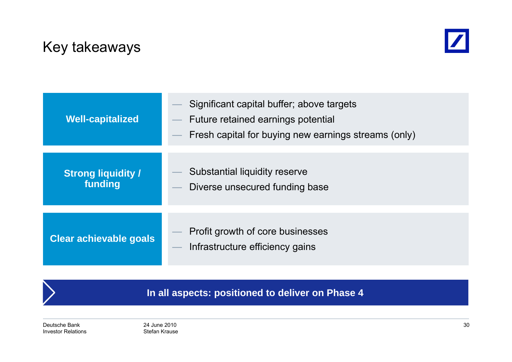## Key takeaways



| <b>Well-capitalized</b>              | Significant capital buffer; above targets<br>Future retained earnings potential<br>Fresh capital for buying new earnings streams (only) |
|--------------------------------------|-----------------------------------------------------------------------------------------------------------------------------------------|
| <b>Strong liquidity /</b><br>funding | Substantial liquidity reserve<br>Diverse unsecured funding base                                                                         |
| <b>Clear achievable goals</b>        | Profit growth of core businesses<br>Infrastructure efficiency gains                                                                     |

**In all aspects: positioned to deliver on Phase 4**